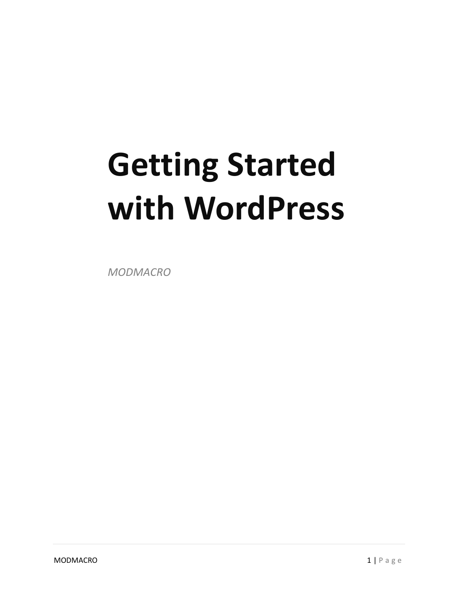# **Getting Started with WordPress**

*MODMACRO*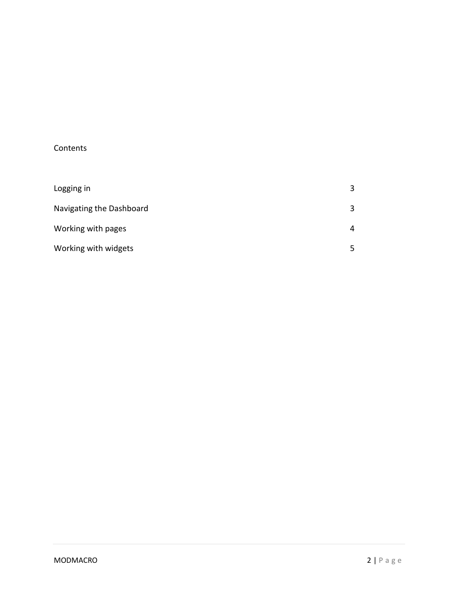### Contents

| Logging in               | 3 |
|--------------------------|---|
| Navigating the Dashboard | 3 |
| Working with pages       | 4 |
| Working with widgets     | 5 |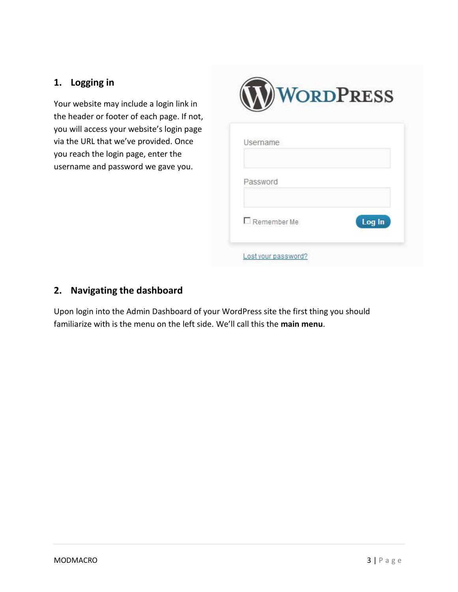# **1. Logging in**

Your website may include a login link in the header or footer of each page. If not, you will access your website's login page via the URL that we've provided. Once you reach the login page, enter the username and password we gave you.



# **2. Navigating the dashboard**

Upon login into the Admin Dashboard of your WordPress site the first thing you should familiarize with is the menu on the left side. We'll call this the **main menu**.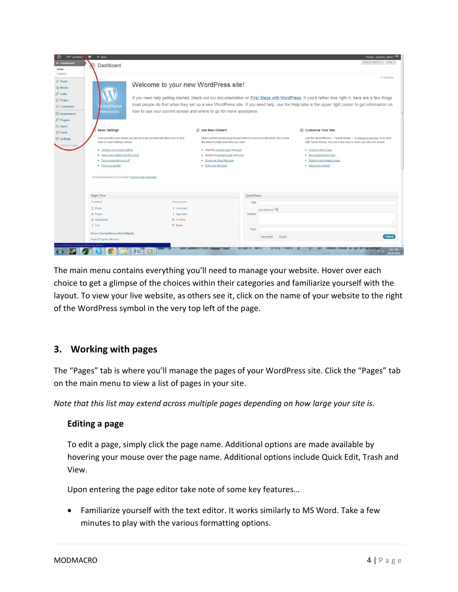| Screen Options v Help v<br><b>A</b> Dashboard<br>Dashboard<br>Home<br>Updates<br>© Dismiss<br>$s^p$ Posts<br>Welcome to your new WordPress site!<br><b>Wedia</b><br>$e^2$ Links<br>If you need help getting started, check out our documentation on First Steps with WordPress. If you'd rather dive right in, here are a few things<br>Pages<br>most people do first when they set up a new WordPress site. If you need help, use the Help tabs in the upper right corner to get information on<br><b>ORDPRESS</b><br>Comments<br>how to use your current screen and where to go for more assistance.<br>ersion 3.4.2<br>Appearance<br>$$$ Plugins<br><b>8 Users</b><br><b>Basic Settings</b><br><b>Add Real Content</b><br>Customize Your Site<br>Ti Tools<br>Here are a few easy things you can do to get your feet wet. Make sure to click<br>Check out the sample page & post editors to see how it all works, then delete<br>Use the current theme - Twenty Eleven - or choose a new one. If you stick<br><b>89 Settings</b><br>Save on each Settings screen.<br>the default content and write your own!<br>with Twenty Eleven, here are a few ways to make your site look unique<br>Collapse men<br>· Choose your privacy setting<br>. View the sample page and post<br>· Choose light or dark<br>· Select your tagline and time zone<br>• Delete the sample page and post<br>· Set a background color<br>· Turn comments on or off<br>· Create an About Me page<br>· Select a new header image<br>· Fill in your profile<br>• Write your first post<br>· Add some widgets<br>Already know what you're doing? Dismiss this message.<br>QuickPress<br><b>Right Now</b><br>Content<br><b>Discussion</b><br>Title<br>3 Posts<br>1 Comment<br>Upload/Insert<br>2 Pages<br>1 Approved<br>Content<br>2 Categories<br>O Pending<br>1 Tag<br>O Spam<br>Tags<br>Theme Twenty Eleven with 6 Widgets<br>Save Draft<br>Reset<br>Search Engines Blocked<br>v.modmacro.us/wpsandbox/wp-admin/ | WP Sandbox | $+$ New |                |  |  | Howdy, wpsand_admin |                       |  |
|----------------------------------------------------------------------------------------------------------------------------------------------------------------------------------------------------------------------------------------------------------------------------------------------------------------------------------------------------------------------------------------------------------------------------------------------------------------------------------------------------------------------------------------------------------------------------------------------------------------------------------------------------------------------------------------------------------------------------------------------------------------------------------------------------------------------------------------------------------------------------------------------------------------------------------------------------------------------------------------------------------------------------------------------------------------------------------------------------------------------------------------------------------------------------------------------------------------------------------------------------------------------------------------------------------------------------------------------------------------------------------------------------------------------------------------------------------------------------------------------------------------------------------------------------------------------------------------------------------------------------------------------------------------------------------------------------------------------------------------------------------------------------------------------------------------------------------------------------------------------------------------------------------------------------------------------------------------------------------------|------------|---------|----------------|--|--|---------------------|-----------------------|--|
|                                                                                                                                                                                                                                                                                                                                                                                                                                                                                                                                                                                                                                                                                                                                                                                                                                                                                                                                                                                                                                                                                                                                                                                                                                                                                                                                                                                                                                                                                                                                                                                                                                                                                                                                                                                                                                                                                                                                                                                        |            |         |                |  |  |                     |                       |  |
|                                                                                                                                                                                                                                                                                                                                                                                                                                                                                                                                                                                                                                                                                                                                                                                                                                                                                                                                                                                                                                                                                                                                                                                                                                                                                                                                                                                                                                                                                                                                                                                                                                                                                                                                                                                                                                                                                                                                                                                        |            |         |                |  |  |                     |                       |  |
|                                                                                                                                                                                                                                                                                                                                                                                                                                                                                                                                                                                                                                                                                                                                                                                                                                                                                                                                                                                                                                                                                                                                                                                                                                                                                                                                                                                                                                                                                                                                                                                                                                                                                                                                                                                                                                                                                                                                                                                        |            |         |                |  |  |                     |                       |  |
|                                                                                                                                                                                                                                                                                                                                                                                                                                                                                                                                                                                                                                                                                                                                                                                                                                                                                                                                                                                                                                                                                                                                                                                                                                                                                                                                                                                                                                                                                                                                                                                                                                                                                                                                                                                                                                                                                                                                                                                        |            |         |                |  |  |                     |                       |  |
|                                                                                                                                                                                                                                                                                                                                                                                                                                                                                                                                                                                                                                                                                                                                                                                                                                                                                                                                                                                                                                                                                                                                                                                                                                                                                                                                                                                                                                                                                                                                                                                                                                                                                                                                                                                                                                                                                                                                                                                        |            |         |                |  |  |                     |                       |  |
|                                                                                                                                                                                                                                                                                                                                                                                                                                                                                                                                                                                                                                                                                                                                                                                                                                                                                                                                                                                                                                                                                                                                                                                                                                                                                                                                                                                                                                                                                                                                                                                                                                                                                                                                                                                                                                                                                                                                                                                        |            |         |                |  |  |                     |                       |  |
|                                                                                                                                                                                                                                                                                                                                                                                                                                                                                                                                                                                                                                                                                                                                                                                                                                                                                                                                                                                                                                                                                                                                                                                                                                                                                                                                                                                                                                                                                                                                                                                                                                                                                                                                                                                                                                                                                                                                                                                        |            |         |                |  |  |                     |                       |  |
|                                                                                                                                                                                                                                                                                                                                                                                                                                                                                                                                                                                                                                                                                                                                                                                                                                                                                                                                                                                                                                                                                                                                                                                                                                                                                                                                                                                                                                                                                                                                                                                                                                                                                                                                                                                                                                                                                                                                                                                        |            |         |                |  |  |                     |                       |  |
|                                                                                                                                                                                                                                                                                                                                                                                                                                                                                                                                                                                                                                                                                                                                                                                                                                                                                                                                                                                                                                                                                                                                                                                                                                                                                                                                                                                                                                                                                                                                                                                                                                                                                                                                                                                                                                                                                                                                                                                        |            |         |                |  |  |                     |                       |  |
|                                                                                                                                                                                                                                                                                                                                                                                                                                                                                                                                                                                                                                                                                                                                                                                                                                                                                                                                                                                                                                                                                                                                                                                                                                                                                                                                                                                                                                                                                                                                                                                                                                                                                                                                                                                                                                                                                                                                                                                        |            |         |                |  |  |                     |                       |  |
|                                                                                                                                                                                                                                                                                                                                                                                                                                                                                                                                                                                                                                                                                                                                                                                                                                                                                                                                                                                                                                                                                                                                                                                                                                                                                                                                                                                                                                                                                                                                                                                                                                                                                                                                                                                                                                                                                                                                                                                        |            |         |                |  |  |                     |                       |  |
|                                                                                                                                                                                                                                                                                                                                                                                                                                                                                                                                                                                                                                                                                                                                                                                                                                                                                                                                                                                                                                                                                                                                                                                                                                                                                                                                                                                                                                                                                                                                                                                                                                                                                                                                                                                                                                                                                                                                                                                        |            |         |                |  |  |                     |                       |  |
|                                                                                                                                                                                                                                                                                                                                                                                                                                                                                                                                                                                                                                                                                                                                                                                                                                                                                                                                                                                                                                                                                                                                                                                                                                                                                                                                                                                                                                                                                                                                                                                                                                                                                                                                                                                                                                                                                                                                                                                        |            |         |                |  |  |                     |                       |  |
|                                                                                                                                                                                                                                                                                                                                                                                                                                                                                                                                                                                                                                                                                                                                                                                                                                                                                                                                                                                                                                                                                                                                                                                                                                                                                                                                                                                                                                                                                                                                                                                                                                                                                                                                                                                                                                                                                                                                                                                        |            |         |                |  |  |                     |                       |  |
|                                                                                                                                                                                                                                                                                                                                                                                                                                                                                                                                                                                                                                                                                                                                                                                                                                                                                                                                                                                                                                                                                                                                                                                                                                                                                                                                                                                                                                                                                                                                                                                                                                                                                                                                                                                                                                                                                                                                                                                        |            |         |                |  |  |                     |                       |  |
|                                                                                                                                                                                                                                                                                                                                                                                                                                                                                                                                                                                                                                                                                                                                                                                                                                                                                                                                                                                                                                                                                                                                                                                                                                                                                                                                                                                                                                                                                                                                                                                                                                                                                                                                                                                                                                                                                                                                                                                        |            |         |                |  |  |                     |                       |  |
|                                                                                                                                                                                                                                                                                                                                                                                                                                                                                                                                                                                                                                                                                                                                                                                                                                                                                                                                                                                                                                                                                                                                                                                                                                                                                                                                                                                                                                                                                                                                                                                                                                                                                                                                                                                                                                                                                                                                                                                        |            |         |                |  |  |                     |                       |  |
|                                                                                                                                                                                                                                                                                                                                                                                                                                                                                                                                                                                                                                                                                                                                                                                                                                                                                                                                                                                                                                                                                                                                                                                                                                                                                                                                                                                                                                                                                                                                                                                                                                                                                                                                                                                                                                                                                                                                                                                        |            |         |                |  |  |                     |                       |  |
|                                                                                                                                                                                                                                                                                                                                                                                                                                                                                                                                                                                                                                                                                                                                                                                                                                                                                                                                                                                                                                                                                                                                                                                                                                                                                                                                                                                                                                                                                                                                                                                                                                                                                                                                                                                                                                                                                                                                                                                        |            |         |                |  |  |                     |                       |  |
|                                                                                                                                                                                                                                                                                                                                                                                                                                                                                                                                                                                                                                                                                                                                                                                                                                                                                                                                                                                                                                                                                                                                                                                                                                                                                                                                                                                                                                                                                                                                                                                                                                                                                                                                                                                                                                                                                                                                                                                        |            |         |                |  |  |                     |                       |  |
|                                                                                                                                                                                                                                                                                                                                                                                                                                                                                                                                                                                                                                                                                                                                                                                                                                                                                                                                                                                                                                                                                                                                                                                                                                                                                                                                                                                                                                                                                                                                                                                                                                                                                                                                                                                                                                                                                                                                                                                        |            |         |                |  |  |                     |                       |  |
|                                                                                                                                                                                                                                                                                                                                                                                                                                                                                                                                                                                                                                                                                                                                                                                                                                                                                                                                                                                                                                                                                                                                                                                                                                                                                                                                                                                                                                                                                                                                                                                                                                                                                                                                                                                                                                                                                                                                                                                        |            |         |                |  |  |                     |                       |  |
|                                                                                                                                                                                                                                                                                                                                                                                                                                                                                                                                                                                                                                                                                                                                                                                                                                                                                                                                                                                                                                                                                                                                                                                                                                                                                                                                                                                                                                                                                                                                                                                                                                                                                                                                                                                                                                                                                                                                                                                        |            |         |                |  |  |                     |                       |  |
|                                                                                                                                                                                                                                                                                                                                                                                                                                                                                                                                                                                                                                                                                                                                                                                                                                                                                                                                                                                                                                                                                                                                                                                                                                                                                                                                                                                                                                                                                                                                                                                                                                                                                                                                                                                                                                                                                                                                                                                        |            |         |                |  |  |                     |                       |  |
|                                                                                                                                                                                                                                                                                                                                                                                                                                                                                                                                                                                                                                                                                                                                                                                                                                                                                                                                                                                                                                                                                                                                                                                                                                                                                                                                                                                                                                                                                                                                                                                                                                                                                                                                                                                                                                                                                                                                                                                        |            |         |                |  |  |                     |                       |  |
|                                                                                                                                                                                                                                                                                                                                                                                                                                                                                                                                                                                                                                                                                                                                                                                                                                                                                                                                                                                                                                                                                                                                                                                                                                                                                                                                                                                                                                                                                                                                                                                                                                                                                                                                                                                                                                                                                                                                                                                        |            |         |                |  |  |                     |                       |  |
|                                                                                                                                                                                                                                                                                                                                                                                                                                                                                                                                                                                                                                                                                                                                                                                                                                                                                                                                                                                                                                                                                                                                                                                                                                                                                                                                                                                                                                                                                                                                                                                                                                                                                                                                                                                                                                                                                                                                                                                        |            |         |                |  |  |                     |                       |  |
|                                                                                                                                                                                                                                                                                                                                                                                                                                                                                                                                                                                                                                                                                                                                                                                                                                                                                                                                                                                                                                                                                                                                                                                                                                                                                                                                                                                                                                                                                                                                                                                                                                                                                                                                                                                                                                                                                                                                                                                        |            |         |                |  |  |                     | Publish               |  |
|                                                                                                                                                                                                                                                                                                                                                                                                                                                                                                                                                                                                                                                                                                                                                                                                                                                                                                                                                                                                                                                                                                                                                                                                                                                                                                                                                                                                                                                                                                                                                                                                                                                                                                                                                                                                                                                                                                                                                                                        |            |         |                |  |  |                     |                       |  |
| $\mathbf{x}$ $\mathbf{0}$                                                                                                                                                                                                                                                                                                                                                                                                                                                                                                                                                                                                                                                                                                                                                                                                                                                                                                                                                                                                                                                                                                                                                                                                                                                                                                                                                                                                                                                                                                                                                                                                                                                                                                                                                                                                                                                                                                                                                              |            |         | $\bullet$<br>匶 |  |  |                     | 9:11 PM<br>10/25/2012 |  |

The main menu contains everything you'll need to manage your website. Hover over each choice to get a glimpse of the choices within their categories and familiarize yourself with the layout. To view your live website, as others see it, click on the name of your website to the right of the WordPress symbol in the very top left of the page.

### **3. Working with pages**

The "Pages" tab is where you'll manage the pages of your WordPress site. Click the "Pages" tab on the main menu to view a list of pages in your site.

*Note that this list may extend across multiple pages depending on how large your site is.*

#### **Editing a page**

To edit a page, simply click the page name. Additional options are made available by hovering your mouse over the page name. Additional options include Quick Edit, Trash and View.

Upon entering the page editor take note of some key features…

 Familiarize yourself with the text editor. It works similarly to MS Word. Take a few minutes to play with the various formatting options.